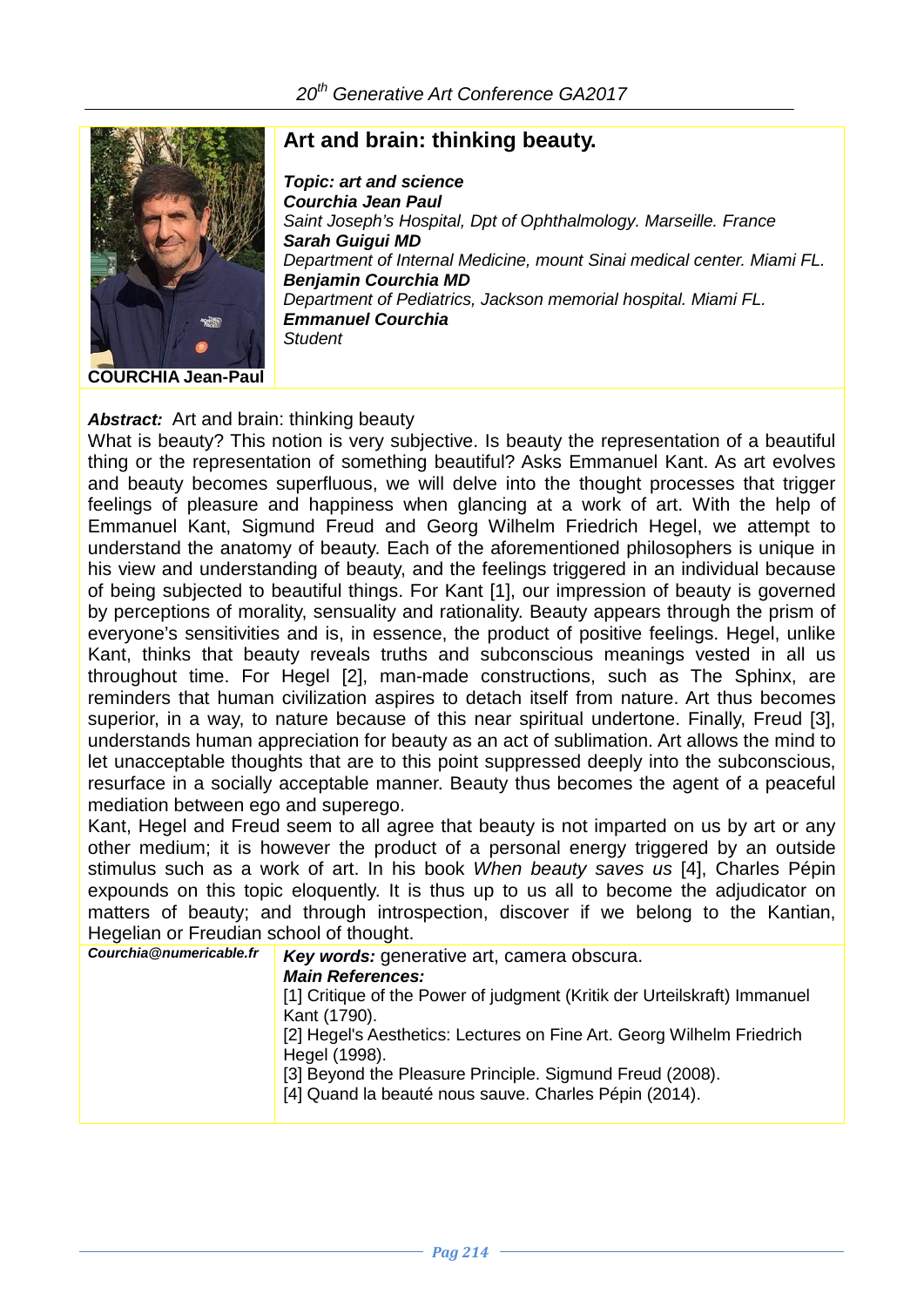

## **Art and brain: thinking beauty.**

*Topic: art and science Courchia Jean Paul Saint Joseph's Hospital, Dpt of Ophthalmology. Marseille. France Sarah Guigui MD Department of Internal Medicine, mount Sinai medical center. Miami FL. Benjamin Courchia MD Department of Pediatrics, Jackson memorial hospital. Miami FL. Emmanuel Courchia Student*

## *Abstract:* Art and brain: thinking beauty

What is beauty? This notion is very subjective. Is beauty the representation of a beautiful thing or the representation of something beautiful? Asks Emmanuel Kant. As art evolves and beauty becomes superfluous, we will delve into the thought processes that trigger feelings of pleasure and happiness when glancing at a work of art. With the help of Emmanuel Kant, Sigmund Freud and Georg Wilhelm Friedrich Hegel, we attempt to understand the anatomy of beauty. Each of the aforementioned philosophers is unique in his view and understanding of beauty, and the feelings triggered in an individual because of being subjected to beautiful things. For Kant [1], our impression of beauty is governed by perceptions of morality, sensuality and rationality. Beauty appears through the prism of everyone's sensitivities and is, in essence, the product of positive feelings. Hegel, unlike Kant, thinks that beauty reveals truths and subconscious meanings vested in all us throughout time. For Hegel [2], man-made constructions, such as The Sphinx, are reminders that human civilization aspires to detach itself from nature. Art thus becomes superior, in a way, to nature because of this near spiritual undertone. Finally, Freud [3], understands human appreciation for beauty as an act of sublimation. Art allows the mind to let unacceptable thoughts that are to this point suppressed deeply into the subconscious, resurface in a socially acceptable manner. Beauty thus becomes the agent of a peaceful mediation between ego and superego.

Kant, Hegel and Freud seem to all agree that beauty is not imparted on us by art or any other medium; it is however the product of a personal energy triggered by an outside stimulus such as a work of art. In his book *When beauty saves us* [4], Charles Pépin expounds on this topic eloquently. It is thus up to us all to become the adjudicator on matters of beauty; and through introspection, discover if we belong to the Kantian, Hegelian or Freudian school of thought.

| Courchia@numericable.fr | Key words: generative art, camera obscura.<br><b>Main References:</b><br>[1] Critique of the Power of judgment (Kritik der Urteilskraft) Immanuel<br>Kant (1790).<br>[2] Hegel's Aesthetics: Lectures on Fine Art. Georg Wilhelm Friedrich<br>Hegel (1998).<br>[3] Beyond the Pleasure Principle. Sigmund Freud (2008).<br>[4] Quand la beauté nous sauve. Charles Pépin (2014). |
|-------------------------|----------------------------------------------------------------------------------------------------------------------------------------------------------------------------------------------------------------------------------------------------------------------------------------------------------------------------------------------------------------------------------|
|                         |                                                                                                                                                                                                                                                                                                                                                                                  |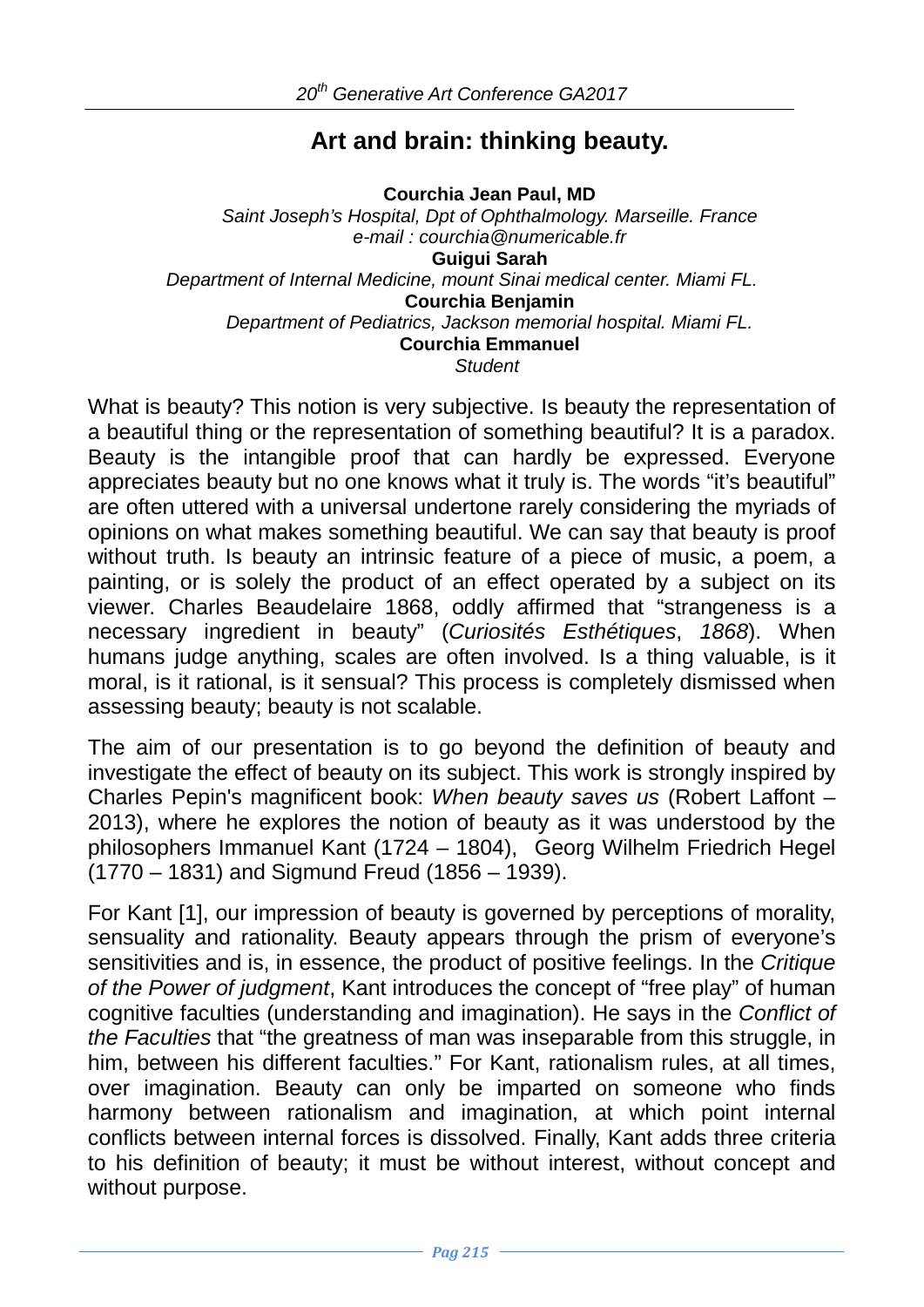## **Art and brain: thinking beauty.**

**Courchia Jean Paul, MD** *Saint Joseph's Hospital, Dpt of Ophthalmology. Marseille. France e-mail : courchia@numericable.fr* **Guigui Sarah** *Department of Internal Medicine, mount Sinai medical center. Miami FL.* **Courchia Benjamin** *Department of Pediatrics, Jackson memorial hospital. Miami FL.* **Courchia Emmanuel** *Student*

What is beauty? This notion is very subjective. Is beauty the representation of a beautiful thing or the representation of something beautiful? It is a paradox. Beauty is the intangible proof that can hardly be expressed. Everyone appreciates beauty but no one knows what it truly is. The words "it's beautiful" are often uttered with a universal undertone rarely considering the myriads of opinions on what makes something beautiful. We can say that beauty is proof without truth. Is beauty an intrinsic feature of a piece of music, a poem, a painting, or is solely the product of an effect operated by a subject on its viewer. Charles Beaudelaire 1868, oddly affirmed that "strangeness is a necessary ingredient in beauty" (*Curiosités Esthétiques*, *1868*). When humans judge anything, scales are often involved. Is a thing valuable, is it moral, is it rational, is it sensual? This process is completely dismissed when assessing beauty; beauty is not scalable.

The aim of our presentation is to go beyond the definition of beauty and investigate the effect of beauty on its subject. This work is strongly inspired by Charles Pepin's magnificent book: *When beauty saves us* (Robert Laffont – 2013), where he explores the notion of beauty as it was understood by the philosophers Immanuel Kant (1724 – 1804), Georg Wilhelm Friedrich Hegel (1770 – 1831) and Sigmund Freud (1856 – 1939).

For Kant [1], our impression of beauty is governed by perceptions of morality, sensuality and rationality. Beauty appears through the prism of everyone's sensitivities and is, in essence, the product of positive feelings. In the *Critique of the Power of judgment*, Kant introduces the concept of "free play" of human cognitive faculties (understanding and imagination). He says in the *Conflict of the Faculties* that "the greatness of man was inseparable from this struggle, in him, between his different faculties." For Kant, rationalism rules, at all times, over imagination. Beauty can only be imparted on someone who finds harmony between rationalism and imagination, at which point internal conflicts between internal forces is dissolved. Finally, Kant adds three criteria to his definition of beauty; it must be without interest, without concept and without purpose.